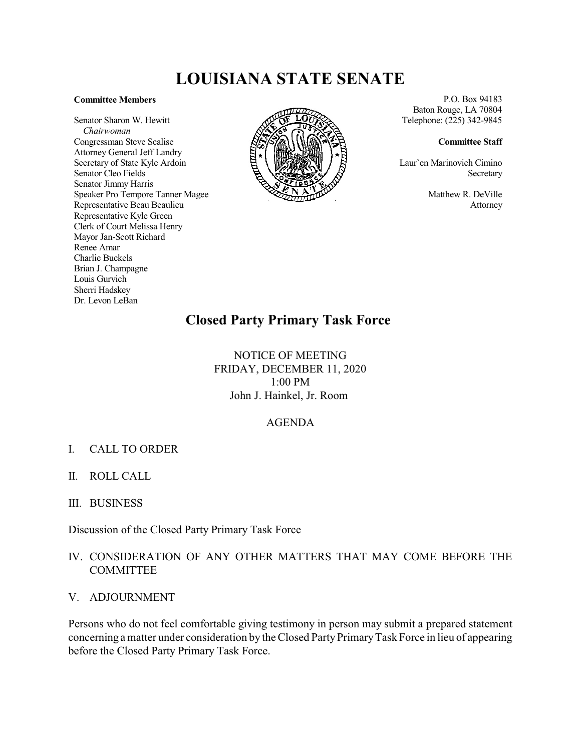# **LOUISIANA STATE SENATE**

### **Committee Members**

Senator Sharon W. Hewitt *Chairwoman* Congressman Steve Scalise Attorney General Jeff Landry Secretary of State Kyle Ardoin Senator Cleo Fields Senator Jimmy Harris Speaker Pro Tempore Tanner Magee Representative Beau Beaulieu Representative Kyle Green Clerk of Court Melissa Henry Mayor Jan-Scott Richard Renee Amar Charlie Buckels Brian J. Champagne Louis Gurvich Sherri Hadskey Dr. Levon LeBan



P.O. Box 94183 Baton Rouge, LA 70804 Telephone: (225) 342-9845

#### **Committee Staff**

Laur`en Marinovich Cimino Secretary

> Matthew R. DeVille Attorney

# **Closed Party Primary Task Force**

NOTICE OF MEETING FRIDAY, DECEMBER 11, 2020 1:00 PM John J. Hainkel, Jr. Room

### AGENDA

## I. CALL TO ORDER

- II. ROLL CALL
- III. BUSINESS

Discussion of the Closed Party Primary Task Force

# IV. CONSIDERATION OF ANY OTHER MATTERS THAT MAY COME BEFORE THE **COMMITTEE**

V. ADJOURNMENT

Persons who do not feel comfortable giving testimony in person may submit a prepared statement concerning a matter under consideration by the Closed PartyPrimaryTask Force in lieu of appearing before the Closed Party Primary Task Force.